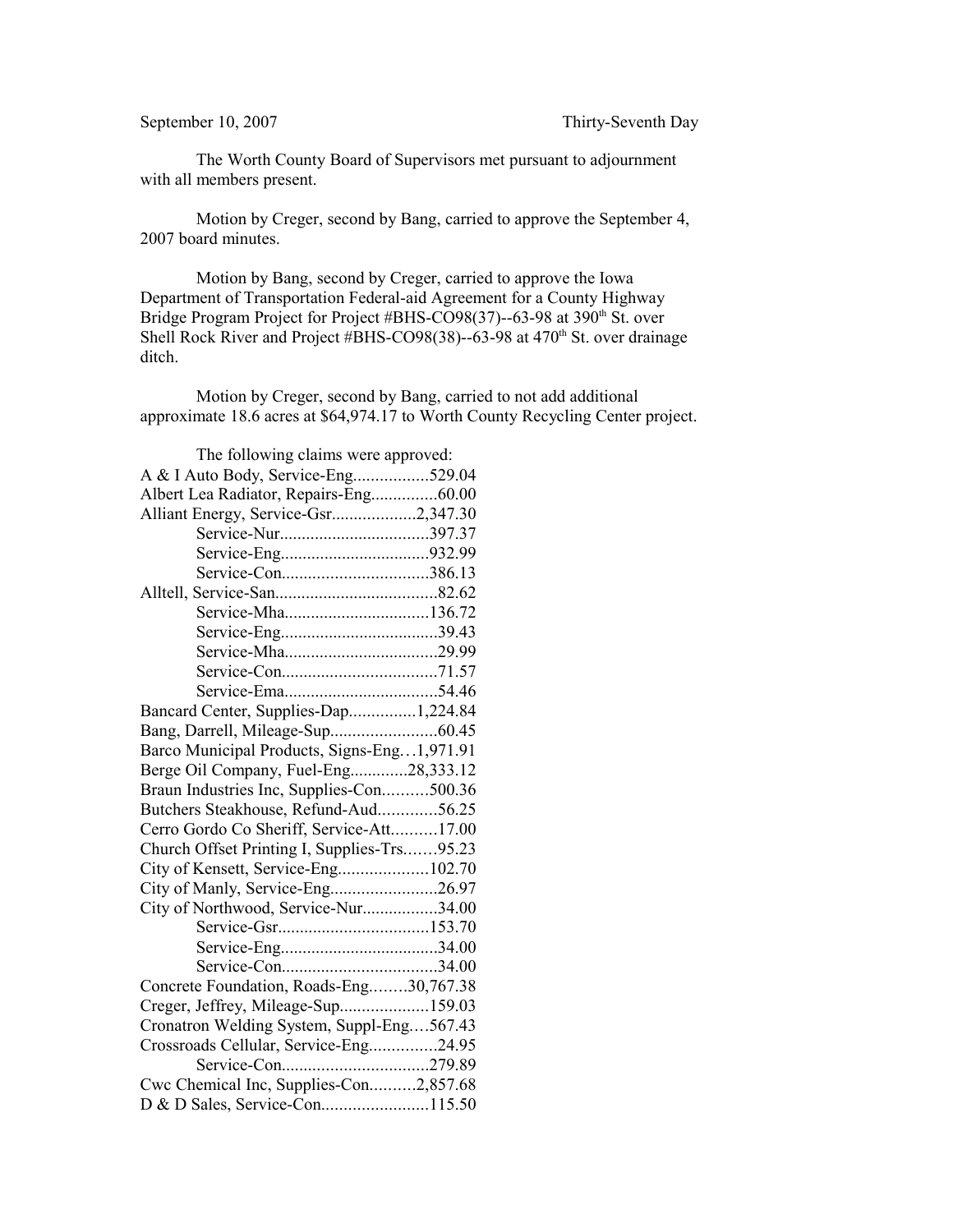The Worth County Board of Supervisors met pursuant to adjournment with all members present.

Motion by Creger, second by Bang, carried to approve the September 4, 2007 board minutes.

Motion by Bang, second by Creger, carried to approve the Iowa Department of Transportation Federal-aid Agreement for a County Highway Bridge Program Project for Project #BHS-CO98(37)--63-98 at 390<sup>th</sup> St. over Shell Rock River and Project #BHS-CO98(38)--63-98 at 470<sup>th</sup> St. over drainage ditch.

Motion by Creger, second by Bang, carried to not add additional approximate 18.6 acres at \$64,974.17 to Worth County Recycling Center project.

| The following claims were approved:         |  |
|---------------------------------------------|--|
| A & I Auto Body, Service-Eng529.04          |  |
| Albert Lea Radiator, Repairs-Eng60.00       |  |
| Alliant Energy, Service-Gsr2,347.30         |  |
|                                             |  |
|                                             |  |
| Service-Con386.13                           |  |
|                                             |  |
|                                             |  |
|                                             |  |
|                                             |  |
|                                             |  |
|                                             |  |
| Bancard Center, Supplies-Dap1,224.84        |  |
|                                             |  |
| Barco Municipal Products, Signs-Eng1,971.91 |  |
| Berge Oil Company, Fuel-Eng28,333.12        |  |
| Braun Industries Inc, Supplies-Con500.36    |  |
| Butchers Steakhouse, Refund-Aud56.25        |  |
| Cerro Gordo Co Sheriff, Service-Att17.00    |  |
| Church Offset Printing I, Supplies-Trs95.23 |  |
| City of Kensett, Service-Eng102.70          |  |
| City of Manly, Service-Eng26.97             |  |
| City of Northwood, Service-Nur34.00         |  |
|                                             |  |
|                                             |  |
|                                             |  |
| Concrete Foundation, Roads-Eng30,767.38     |  |
| Creger, Jeffrey, Mileage-Sup159.03          |  |
| Cronatron Welding System, Suppl-Eng567.43   |  |
| Crossroads Cellular, Service-Eng24.95       |  |
|                                             |  |
| Cwc Chemical Inc, Supplies-Con2,857.68      |  |
| D & D Sales, Service-Con115.50              |  |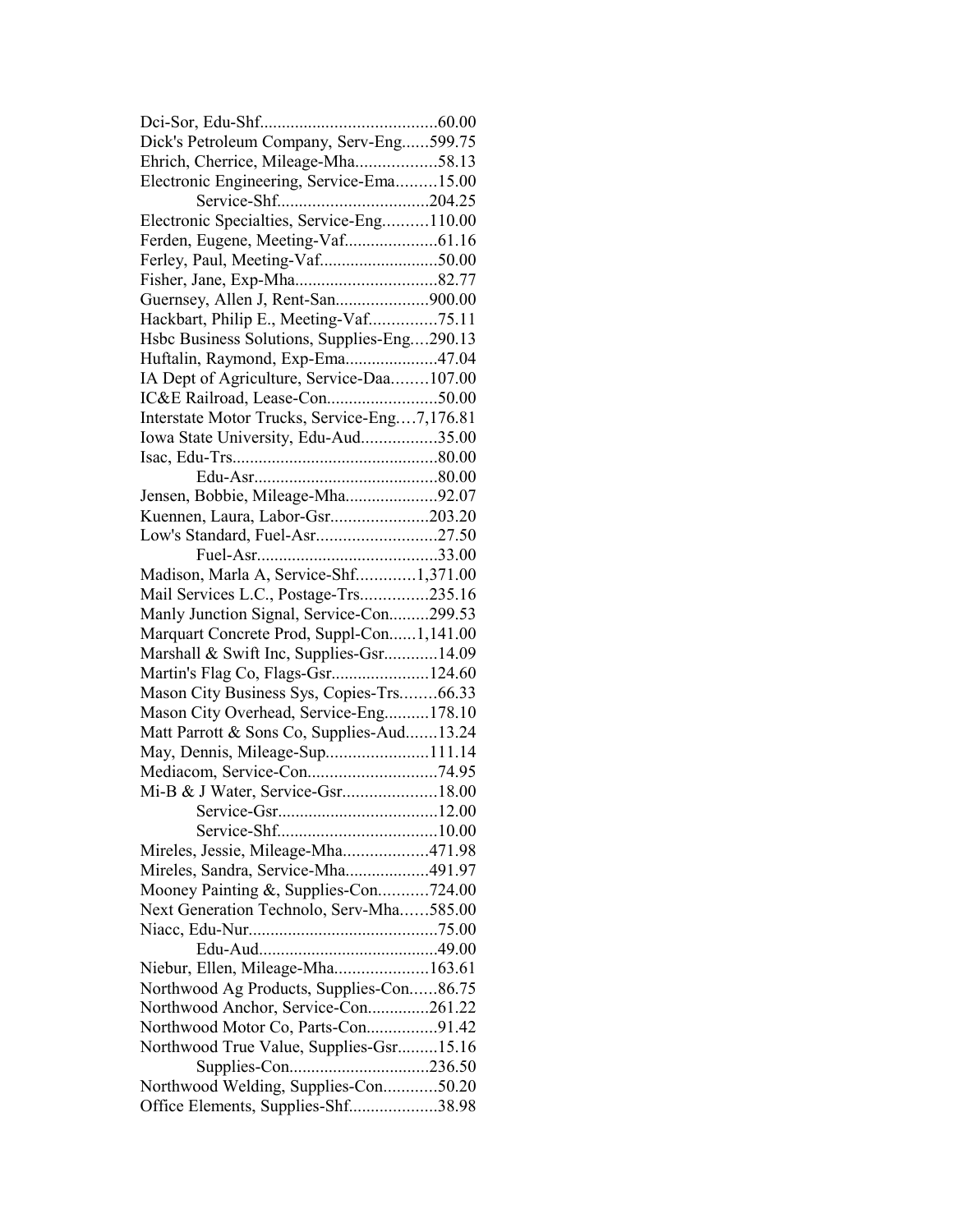| Dick's Petroleum Company, Serv-Eng599.75                                   |  |
|----------------------------------------------------------------------------|--|
| Ehrich, Cherrice, Mileage-Mha58.13                                         |  |
| Electronic Engineering, Service-Ema15.00                                   |  |
|                                                                            |  |
| Electronic Specialties, Service-Eng110.00                                  |  |
|                                                                            |  |
| Ferley, Paul, Meeting-Vaf50.00                                             |  |
|                                                                            |  |
| Guernsey, Allen J, Rent-San900.00                                          |  |
| Hackbart, Philip E., Meeting-Vaf75.11                                      |  |
| Hsbc Business Solutions, Supplies-Eng290.13                                |  |
| Huftalin, Raymond, Exp-Ema47.04                                            |  |
| IA Dept of Agriculture, Service-Daa107.00                                  |  |
|                                                                            |  |
| Interstate Motor Trucks, Service-Eng7,176.81                               |  |
| Iowa State University, Edu-Aud35.00                                        |  |
|                                                                            |  |
|                                                                            |  |
| Jensen, Bobbie, Mileage-Mha92.07                                           |  |
| Kuennen, Laura, Labor-Gsr203.20                                            |  |
| Low's Standard, Fuel-Asr27.50                                              |  |
|                                                                            |  |
| Madison, Marla A, Service-Shf1,371.00                                      |  |
| Mail Services L.C., Postage-Trs235.16                                      |  |
| Manly Junction Signal, Service-Con299.53                                   |  |
|                                                                            |  |
|                                                                            |  |
| Marquart Concrete Prod, Suppl-Con1,141.00                                  |  |
| Marshall & Swift Inc, Supplies-Gsr14.09                                    |  |
| Martin's Flag Co, Flags-Gsr124.60                                          |  |
| Mason City Business Sys, Copies-Trs66.33                                   |  |
| Mason City Overhead, Service-Eng178.10                                     |  |
| Matt Parrott & Sons Co, Supplies-Aud13.24                                  |  |
| May, Dennis, Mileage-Sup111.14                                             |  |
|                                                                            |  |
|                                                                            |  |
|                                                                            |  |
|                                                                            |  |
| Mireles, Jessie, Mileage-Mha471.98                                         |  |
| Mireles, Sandra, Service-Mha491.97                                         |  |
| Mooney Painting &, Supplies-Con724.00                                      |  |
| Next Generation Technolo, Serv-Mha585.00                                   |  |
|                                                                            |  |
|                                                                            |  |
| Niebur, Ellen, Mileage-Mha163.61                                           |  |
| Northwood Ag Products, Supplies-Con86.75                                   |  |
| Northwood Anchor, Service-Con261.22                                        |  |
| Northwood Motor Co, Parts-Con91.42                                         |  |
| Northwood True Value, Supplies-Gsr15.16                                    |  |
|                                                                            |  |
| Northwood Welding, Supplies-Con50.20<br>Office Elements, Supplies-Shf38.98 |  |